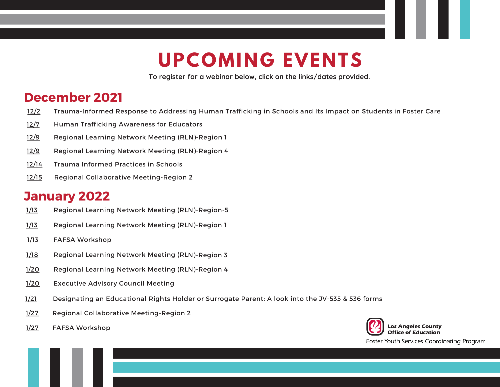## **UPCOMING EVENTS**

**To register for a webinar below, click on the links/dates provided.**

## **December 2021**

- [12/2](https://nam04.safelinks.protection.outlook.com/?url=https%3A%2F%2Ffyscptap.scoe.net%2Fevents%2Fcurrent-eventsregistration&data=04%7C01%7CGutierrez_Jason%40lacoe.edu%7C04264b236cf64c221b9908d99645b078%7C9a85f50685664ae19bd3b3fba8220f09%7C0%7C0%7C637706048334740442%7CUnknown%7CTWFpbGZsb3d8eyJWIjoiMC4wLjAwMDAiLCJQIjoiV2luMzIiLCJBTiI6Ik1haWwiLCJXVCI6Mn0%3D%7C1000&sdata=TQyYgaqc150PEFFNCjxj4GwmbWw9Vl2uT9PjOViNFy4%3D&reserved=0) Trauma-Informed Response to Addressing Human Trafficking in Schools and Its Impact on Students in Foster Care
- [12/7](http://lacoe.k12oms.org/2263-203584) Human Trafficking Awareness for Educators
- [12/9](http://lacoe.k12oms.org/2263-203568) Regional Learning Network Meeting (RLN)-Region 1
- [12/9](https://lacoe.k12oms.org/eventdetail.php?id=203909) Regional Learning Network Meeting (RLN)-Region <sup>4</sup>
- [12/14](https://lacoe.k12oms.org/2263-212933) Trauma Informed Practices in Schools
- [12/15](http://lacoe.k12oms.org/2263-203576) Regional Collaborative Meeting-Region 2

## **January 2022**

- [1/13](https://lacoe.k12oms.org/eventdetail.php?id=203817) Regional Learning Network Meeting (RLN)-Region-5
- [1/13](http://lacoe.k12oms.org/2263-209365) Regional Learning Network Meeting (RLN)-Region 1
- 1/13 FAFSA Workshop
- [1/18](http://lacoe.k12oms.org/2263-203585) Regional Learning Network Meeting (RLN)-Region <sup>3</sup>
- [1/20](https://lacoe.k12oms.org/eventdetail.php?id=209320) Regional Learning Network Meeting (RLN)-Region <sup>4</sup>
- [1/20](http://lacoe.k12oms.org/2263-203545) Executive Advisory Council Meeting
- [1/21](http://lacoe.k12oms.org/2263-212847) Designating an Educational Rights Holder or Surrogate Parent: <sup>A</sup> look into the JV-535 & 536 forms
- [1/27](http://lacoe.k12oms.org/2263-203577) Regional Collaborative Meeting-Region 2
- [1/27](http://lacoe.k12oms.org/2263-211253) FAFSA Workshop



Foster Youth Services Coordinating Program